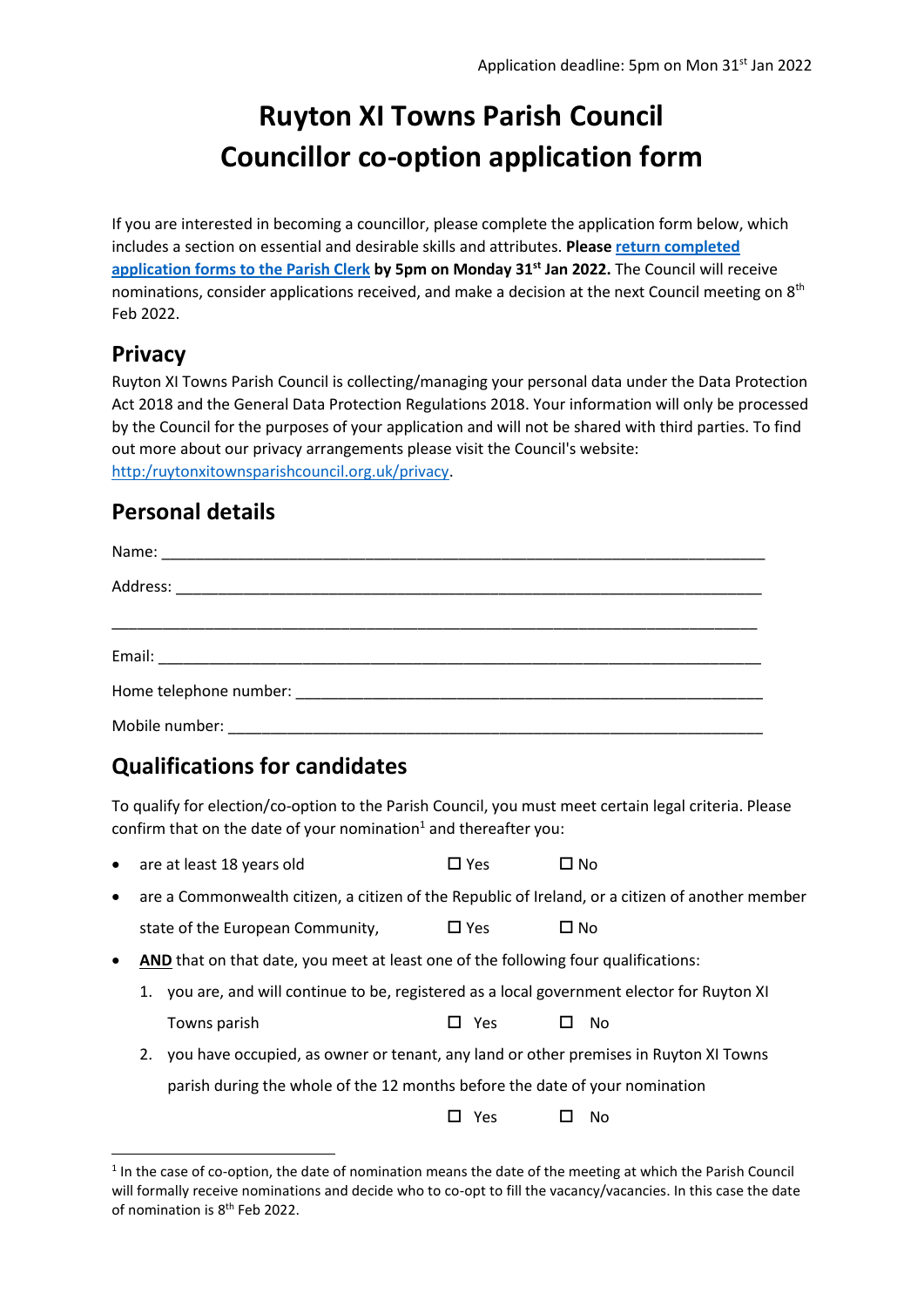# **Ruyton XI Towns Parish Council Councillor co-option application form**

If you are interested in becoming a councillor, please complete the application form below, which includes a section on essential and desirable skills and attributes. **Pleas[e return completed](mailto:parishclerk@ruytonxitownsparishcouncil.org.uk?subject=Councillor%20application)  [application forms to the Parish Clerk](mailto:parishclerk@ruytonxitownsparishcouncil.org.uk?subject=Councillor%20application) by 5pm on Monday 31st Jan 2022.** The Council will receive nominations, consider applications received, and make a decision at the next Council meeting on  $8<sup>th</sup>$ Feb 2022.

#### **Privacy**

Ruyton XI Towns Parish Council is collecting/managing your personal data under the Data Protection Act 2018 and the General Data Protection Regulations 2018. Your information will only be processed by the Council for the purposes of your application and will not be shared with third parties. To find out more about our privacy arrangements please visit the Council's website: [http:/ruytonxitownsparishcouncil.org.uk/privacy.](http://www.ruytonxitownsparishcouncil.org.uk/wp-content/uploads/2018/05/GDPR-Detailed-Privacy-Notice1.pdf)

#### **Personal details**

| Mobile number: Note of the Mobile number of the Mobile number of the Mobile number of the Mobile number of the |
|----------------------------------------------------------------------------------------------------------------|

## **Qualifications for candidates**

To qualify for election/co-option to the Parish Council, you must meet certain legal criteria. Please confirm that on the date of your nomination<sup>1</sup> and thereafter you:

- are at least 18 years old  $\Box$  Yes  $\Box$  No
- are a Commonwealth citizen, a citizen of the Republic of Ireland, or a citizen of another member state of the European Community.  $\Box$  Yes  $\Box$  No
- **AND** that on that date, you meet at least one of the following four qualifications:
	- 1. you are, and will continue to be, registered as a local government elector for Ruyton XI Towns parish  $\Box$  Yes  $\Box$  No
	- 2. you have occupied, as owner or tenant, any land or other premises in Ruyton XI Towns parish during the whole of the 12 months before the date of your nomination

 $\Box$  Yes  $\Box$  No.

<sup>&</sup>lt;sup>1</sup> In the case of co-option, the date of nomination means the date of the meeting at which the Parish Council will formally receive nominations and decide who to co-opt to fill the vacancy/vacancies. In this case the date of nomination is 8<sup>th</sup> Feb 2022.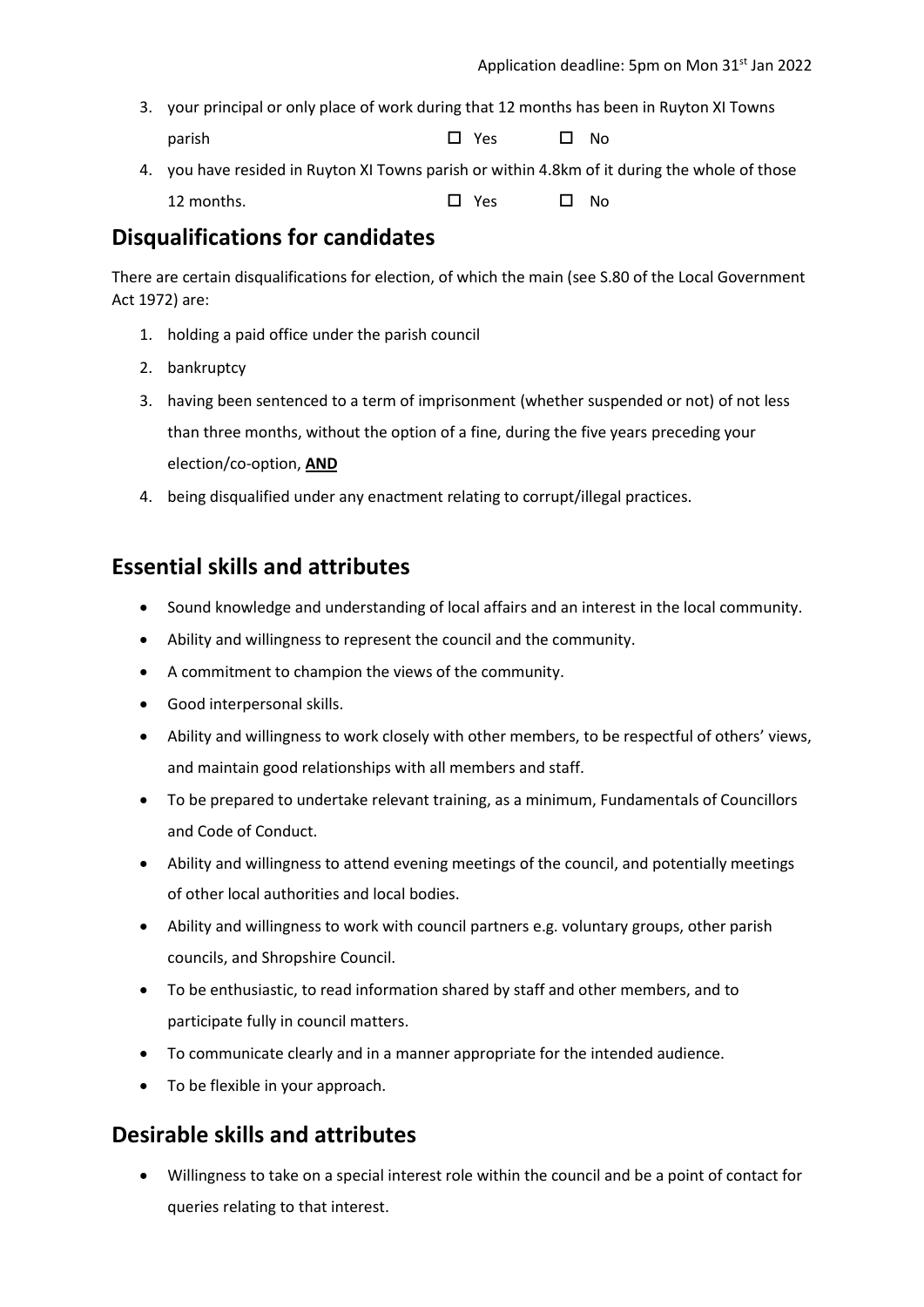- 3. your principal or only place of work during that 12 months has been in Ruyton XI Towns parish Yes  $\Box$  Yes  $\Box$  No
- 4. you have resided in Ruyton XI Towns parish or within 4.8km of it during the whole of those 12 months. Yes  $\Box$  Yes  $\Box$  No.

### **Disqualifications for candidates**

There are certain disqualifications for election, of which the main (see S.80 of the Local Government Act 1972) are:

- 1. holding a paid office under the parish council
- 2. bankruptcy
- 3. having been sentenced to a term of imprisonment (whether suspended or not) of not less than three months, without the option of a fine, during the five years preceding your election/co-option, **AND**
- 4. being disqualified under any enactment relating to corrupt/illegal practices.

#### **Essential skills and attributes**

- Sound knowledge and understanding of local affairs and an interest in the local community.
- Ability and willingness to represent the council and the community.
- A commitment to champion the views of the community.
- Good interpersonal skills.
- Ability and willingness to work closely with other members, to be respectful of others' views, and maintain good relationships with all members and staff.
- To be prepared to undertake relevant training, as a minimum, Fundamentals of Councillors and Code of Conduct.
- Ability and willingness to attend evening meetings of the council, and potentially meetings of other local authorities and local bodies.
- Ability and willingness to work with council partners e.g. voluntary groups, other parish councils, and Shropshire Council.
- To be enthusiastic, to read information shared by staff and other members, and to participate fully in council matters.
- To communicate clearly and in a manner appropriate for the intended audience.
- To be flexible in your approach.

#### **Desirable skills and attributes**

• Willingness to take on a special interest role within the council and be a point of contact for queries relating to that interest.